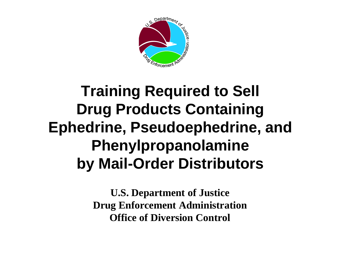

## **Training Required to Sell Drug Products Containing Ephedrine, Pseudoephedrine, and Phenylpropanolamine by Mail-Order Distributors**

**U.S. Department of Justice Drug Enforcement Administration Office of Diversion Control**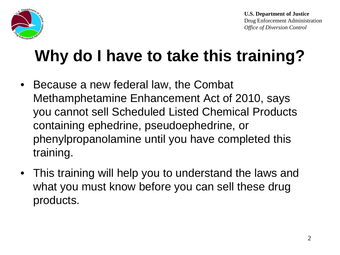

# **Why do I have to take this training?**

- Because a new federal law, the Combat Methamphetamine Enhancement Act of 2010, says you cannot sell Scheduled Listed Chemical Products containing ephedrine, pseudoephedrine, or phenylpropanolamine until you have completed this training.
- This training will help you to understand the laws and what you must know before you can sell these drug products.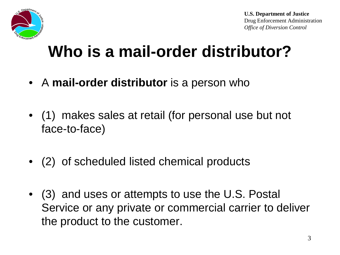

# **Who is a mail-order distributor?**

- A **mail-order distributor** is a person who
- (1) makes sales at retail (for personal use but not face-to-face)
- (2) of scheduled listed chemical products
- (3) and uses or attempts to use the U.S. Postal Service or any private or commercial carrier to deliver the product to the customer.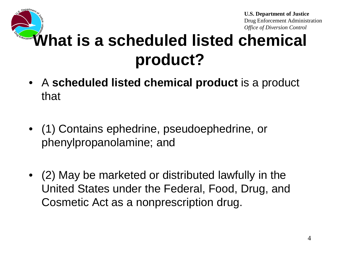**U.S. Department of Justice**

Drug Enforcement Administration *Office of Diversion Control*

# **What is a scheduled listed chemical product?**

- A **scheduled listed chemical product** is a product that
- (1) Contains ephedrine, pseudoephedrine, or phenylpropanolamine; and
- (2) May be marketed or distributed lawfully in the United States under the Federal, Food, Drug, and Cosmetic Act as a nonprescription drug.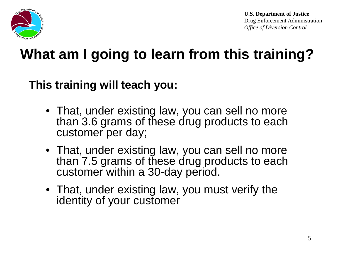

### **What am I going to learn from this training?**

#### **This training will teach you:**

- That, under existing law, you can sell no more than 3.6 grams of these drug products to each customer per day;
- That, under existing law, you can sell no more than 7.5 grams of these drug products to each customer within a 30-day period.
- That, under existing law, you must verify the identity of your customer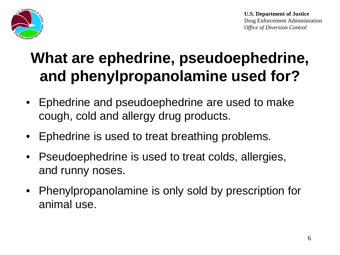



## **What are ephedrine, pseudoephedrine, and phenylpropanolamine used for?**

- Ephedrine and pseudoephedrine are used to make cough, cold and allergy drug products.
- Ephedrine is used to treat breathing problems.
- Pseudoephedrine is used to treat colds, allergies, and runny noses.
- Phenylpropanolamine is only sold by prescription for animal use.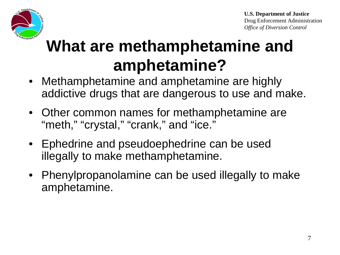

# **What are methamphetamine and amphetamine?**

- Methamphetamine and amphetamine are highly addictive drugs that are dangerous to use and make.
- Other common names for methamphetamine are "meth," "crystal," "crank," and "ice."
- Ephedrine and pseudoephedrine can be used illegally to make methamphetamine.
- Phenylpropanolamine can be used illegally to make amphetamine.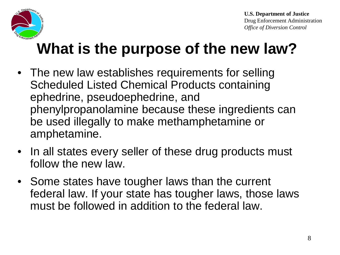

# **What is the purpose of the new law?**

- The new law establishes requirements for selling Scheduled Listed Chemical Products containing ephedrine, pseudoephedrine, and phenylpropanolamine because these ingredients can be used illegally to make methamphetamine or amphetamine.
- In all states every seller of these drug products must follow the new law.
- Some states have tougher laws than the current federal law. If your state has tougher laws, those laws must be followed in addition to the federal law.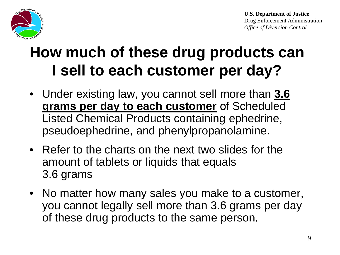

## **How much of these drug products can I sell to each customer per day?**

- Under existing law, you cannot sell more than **3.6 grams per day to each customer** of Scheduled Listed Chemical Products containing ephedrine, pseudoephedrine, and phenylpropanolamine.
- Refer to the charts on the next two slides for the amount of tablets or liquids that equals 3.6 grams
- No matter how many sales you make to a customer, you cannot legally sell more than 3.6 grams per day of these drug products to the same person.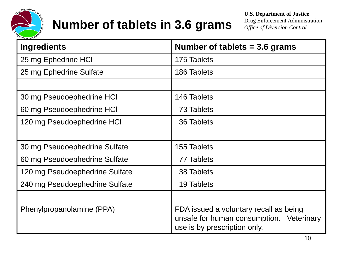

#### **Number of tablets in 3.6 grams**

**U.S. Department of Justice** Drug Enforcement Administration

|  | Drug Enforcement Administration    |  |  |  |
|--|------------------------------------|--|--|--|
|  | <b>Office of Diversion Control</b> |  |  |  |

| <b>Ingredients</b>             | Number of tablets $=$ 3.6 grams                                                                                    |  |  |
|--------------------------------|--------------------------------------------------------------------------------------------------------------------|--|--|
| 25 mg Ephedrine HCI            | 175 Tablets                                                                                                        |  |  |
| 25 mg Ephedrine Sulfate        | 186 Tablets                                                                                                        |  |  |
|                                |                                                                                                                    |  |  |
| 30 mg Pseudoephedrine HCI      | 146 Tablets                                                                                                        |  |  |
| 60 mg Pseudoephedrine HCI      | 73 Tablets                                                                                                         |  |  |
| 120 mg Pseudoephedrine HCI     | 36 Tablets                                                                                                         |  |  |
|                                |                                                                                                                    |  |  |
| 30 mg Pseudoephedrine Sulfate  | 155 Tablets                                                                                                        |  |  |
| 60 mg Pseudoephedrine Sulfate  | 77 Tablets                                                                                                         |  |  |
| 120 mg Pseudoephedrine Sulfate | 38 Tablets                                                                                                         |  |  |
| 240 mg Pseudoephedrine Sulfate | 19 Tablets                                                                                                         |  |  |
|                                |                                                                                                                    |  |  |
| Phenylpropanolamine (PPA)      | FDA issued a voluntary recall as being<br>unsafe for human consumption. Veterinary<br>use is by prescription only. |  |  |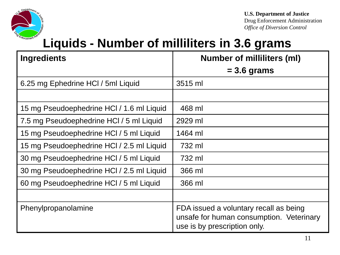

Drug Enforcement Administration *Office of Diversion Control*

#### **Liquids - Number of milliliters in 3.6 grams**

| <b>Ingredients</b>                        | <b>Number of milliliters (ml)</b>                                                                                  |  |
|-------------------------------------------|--------------------------------------------------------------------------------------------------------------------|--|
|                                           | $= 3.6$ grams                                                                                                      |  |
| 6.25 mg Ephedrine HCl / 5ml Liquid        | 3515 ml                                                                                                            |  |
|                                           |                                                                                                                    |  |
| 15 mg Pseudoephedrine HCl / 1.6 ml Liquid | 468 ml                                                                                                             |  |
| 7.5 mg Pseudoephedrine HCl / 5 ml Liquid  | 2929 ml                                                                                                            |  |
| 15 mg Pseudoephedrine HCI / 5 ml Liquid   | 1464 ml                                                                                                            |  |
| 15 mg Pseudoephedrine HCl / 2.5 ml Liquid | 732 ml                                                                                                             |  |
| 30 mg Pseudoephedrine HCI / 5 ml Liquid   | 732 ml                                                                                                             |  |
| 30 mg Pseudoephedrine HCl / 2.5 ml Liquid | 366 ml                                                                                                             |  |
| 60 mg Pseudoephedrine HCl / 5 ml Liquid   | 366 ml                                                                                                             |  |
|                                           |                                                                                                                    |  |
| Phenylpropanolamine                       | FDA issued a voluntary recall as being<br>unsafe for human consumption. Veterinary<br>use is by prescription only. |  |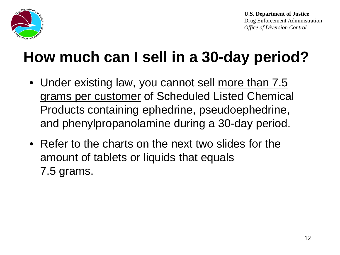

# **How much can I sell in a 30-day period?**

- Under existing law, you cannot sell more than 7.5 grams per customer of Scheduled Listed Chemical Products containing ephedrine, pseudoephedrine, and phenylpropanolamine during a 30-day period.
- Refer to the charts on the next two slides for the amount of tablets or liquids that equals 7.5 grams.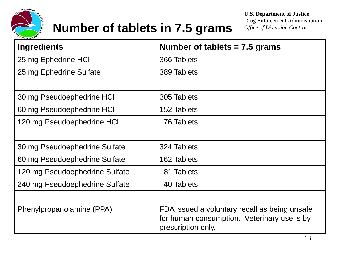

#### **Number of tablets in 7.5 grams**

**U.S. Department of Justice**

Drug Enforcement Administration *Office of Diversion Control*

| <b>Ingredients</b>             | Number of tablets $= 7.5$ grams                                                                                    |  |
|--------------------------------|--------------------------------------------------------------------------------------------------------------------|--|
| 25 mg Ephedrine HCI            | 366 Tablets                                                                                                        |  |
| 25 mg Ephedrine Sulfate        | 389 Tablets                                                                                                        |  |
|                                |                                                                                                                    |  |
| 30 mg Pseudoephedrine HCI      | 305 Tablets                                                                                                        |  |
| 60 mg Pseudoephedrine HCI      | 152 Tablets                                                                                                        |  |
| 120 mg Pseudoephedrine HCI     | <b>76 Tablets</b>                                                                                                  |  |
|                                |                                                                                                                    |  |
| 30 mg Pseudoephedrine Sulfate  | 324 Tablets                                                                                                        |  |
| 60 mg Pseudoephedrine Sulfate  | 162 Tablets                                                                                                        |  |
| 120 mg Pseudoephedrine Sulfate | 81 Tablets                                                                                                         |  |
| 240 mg Pseudoephedrine Sulfate | 40 Tablets                                                                                                         |  |
|                                |                                                                                                                    |  |
| Phenylpropanolamine (PPA)      | FDA issued a voluntary recall as being unsafe<br>for human consumption. Veterinary use is by<br>prescription only. |  |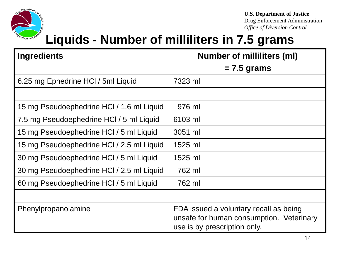

**U.S. Department of Justice**

Drug Enforcement Administration *Office of Diversion Control*

#### **Liquids - Number of milliliters in 7.5 grams**

| <b>Ingredients</b>                        | <b>Number of milliliters (ml)</b>                                                                                  |  |
|-------------------------------------------|--------------------------------------------------------------------------------------------------------------------|--|
|                                           | $= 7.5$ grams                                                                                                      |  |
| 6.25 mg Ephedrine HCI / 5ml Liquid        | 7323 ml                                                                                                            |  |
|                                           |                                                                                                                    |  |
| 15 mg Pseudoephedrine HCl / 1.6 ml Liquid | 976 ml                                                                                                             |  |
| 7.5 mg Pseudoephedrine HCI / 5 ml Liquid  | 6103 ml                                                                                                            |  |
| 15 mg Pseudoephedrine HCl / 5 ml Liquid   | 3051 ml                                                                                                            |  |
| 15 mg Pseudoephedrine HCl / 2.5 ml Liquid | 1525 ml                                                                                                            |  |
| 30 mg Pseudoephedrine HCI / 5 ml Liquid   | 1525 ml                                                                                                            |  |
| 30 mg Pseudoephedrine HCl / 2.5 ml Liquid | 762 ml                                                                                                             |  |
| 60 mg Pseudoephedrine HCl / 5 ml Liquid   | 762 ml                                                                                                             |  |
|                                           |                                                                                                                    |  |
| Phenylpropanolamine                       | FDA issued a voluntary recall as being<br>unsafe for human consumption. Veterinary<br>use is by prescription only. |  |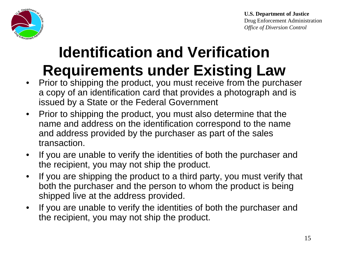Department<sub>or</sub>

**U.S. Department of Justice** Drug Enforcement Administration *Office of Diversion Control*

## **Identification and Verification Requirements under Existing Law**

- Prior to shipping the product, you must receive from the purchaser a copy of an identification card that provides a photograph and is issued by a State or the Federal Government
- Prior to shipping the product, you must also determine that the name and address on the identification correspond to the name and address provided by the purchaser as part of the sales transaction.
- If you are unable to verify the identities of both the purchaser and the recipient, you may not ship the product.
- If you are shipping the product to a third party, you must verify that both the purchaser and the person to whom the product is being shipped live at the address provided.
- If you are unable to verify the identities of both the purchaser and the recipient, you may not ship the product.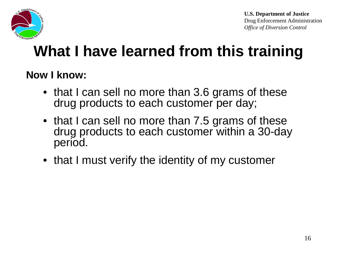

## **What I have learned from this training**

#### **Now I know:**

- that I can sell no more than 3.6 grams of these drug products to each customer per day;
- that I can sell no more than 7.5 grams of these drug products to each customer within a 30-day period.
- that I must verify the identity of my customer